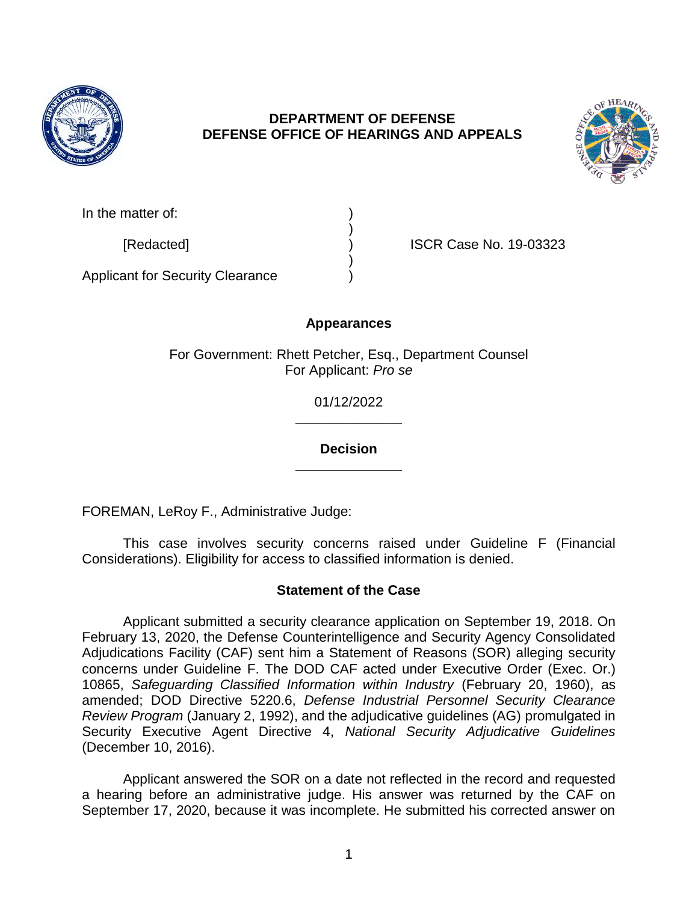

### **DEPARTMENT OF DEFENSE DEFENSE OFFICE OF HEARINGS AND APPEALS**



| In the matter of: |  |
|-------------------|--|
|                   |  |

[Redacted] ) ISCR Case No. 19-03323

Applicant for Security Clearance )

# **Appearances**

)

)

For Government: Rhett Petcher, Esq., Department Counsel For Applicant: *Pro se*

> **\_\_\_\_\_\_\_\_\_\_\_\_\_\_** 01/12/2022

> **\_\_\_\_\_\_\_\_\_\_\_\_\_\_ Decision**

FOREMAN, LeRoy F., Administrative Judge:

This case involves security concerns raised under Guideline F (Financial Considerations). Eligibility for access to classified information is denied.

### **Statement of the Case**

Applicant submitted a security clearance application on September 19, 2018. On February 13, 2020, the Defense Counterintelligence and Security Agency Consolidated Adjudications Facility (CAF) sent him a Statement of Reasons (SOR) alleging security concerns under Guideline F. The DOD CAF acted under Executive Order (Exec. Or.) 10865, *Safeguarding Classified Information within Industry* (February 20, 1960), as amended; DOD Directive 5220.6, *Defense Industrial Personnel Security Clearance Review Program* (January 2, 1992), and the adjudicative guidelines (AG) promulgated in Security Executive Agent Directive 4, *National Security Adjudicative Guidelines*  (December 10, 2016).

Applicant answered the SOR on a date not reflected in the record and requested a hearing before an administrative judge. His answer was returned by the CAF on September 17, 2020, because it was incomplete. He submitted his corrected answer on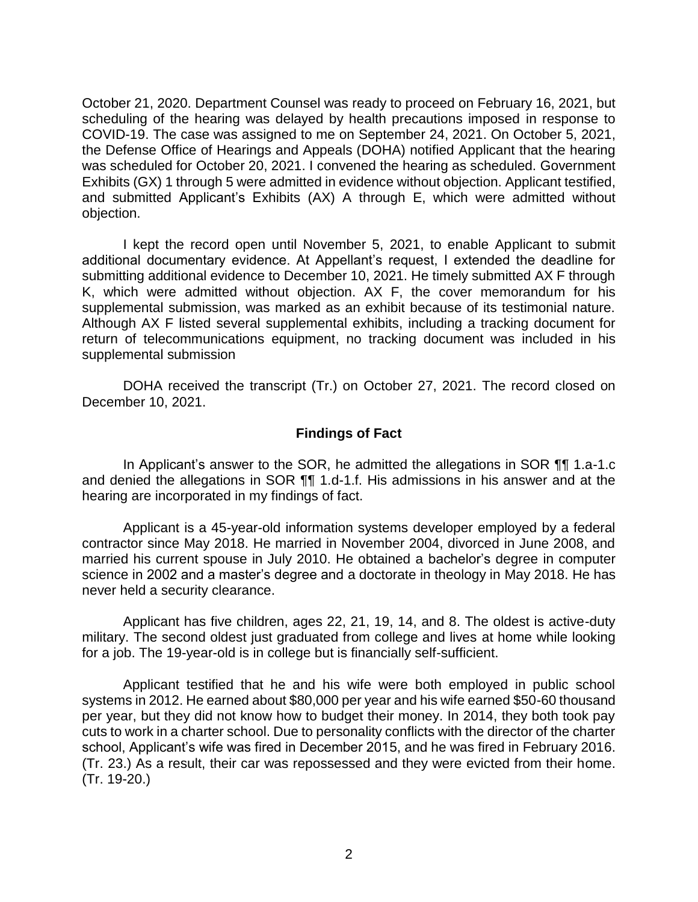October 21, 2020. Department Counsel was ready to proceed on February 16, 2021, but scheduling of the hearing was delayed by health precautions imposed in response to COVID-19. The case was assigned to me on September 24, 2021. On October 5, 2021, the Defense Office of Hearings and Appeals (DOHA) notified Applicant that the hearing was scheduled for October 20, 2021. I convened the hearing as scheduled. Government Exhibits (GX) 1 through 5 were admitted in evidence without objection. Applicant testified, and submitted Applicant's Exhibits (AX) A through E, which were admitted without objection.

I kept the record open until November 5, 2021, to enable Applicant to submit additional documentary evidence. At Appellant's request, I extended the deadline for submitting additional evidence to December 10, 2021. He timely submitted AX F through K, which were admitted without objection. AX F, the cover memorandum for his supplemental submission, was marked as an exhibit because of its testimonial nature. Although AX F listed several supplemental exhibits, including a tracking document for return of telecommunications equipment, no tracking document was included in his supplemental submission

DOHA received the transcript (Tr.) on October 27, 2021. The record closed on December 10, 2021.

#### **Findings of Fact**

In Applicant's answer to the SOR, he admitted the allegations in SOR ¶¶ 1.a-1.c and denied the allegations in SOR ¶¶ 1.d-1.f. His admissions in his answer and at the hearing are incorporated in my findings of fact.

Applicant is a 45-year-old information systems developer employed by a federal contractor since May 2018. He married in November 2004, divorced in June 2008, and married his current spouse in July 2010. He obtained a bachelor's degree in computer science in 2002 and a master's degree and a doctorate in theology in May 2018. He has never held a security clearance.

Applicant has five children, ages 22, 21, 19, 14, and 8. The oldest is active-duty military. The second oldest just graduated from college and lives at home while looking for a job. The 19-year-old is in college but is financially self-sufficient.

Applicant testified that he and his wife were both employed in public school systems in 2012. He earned about \$80,000 per year and his wife earned \$50-60 thousand per year, but they did not know how to budget their money. In 2014, they both took pay cuts to work in a charter school. Due to personality conflicts with the director of the charter school, Applicant's wife was fired in December 2015, and he was fired in February 2016. (Tr. 23.) As a result, their car was repossessed and they were evicted from their home. (Tr. 19-20.)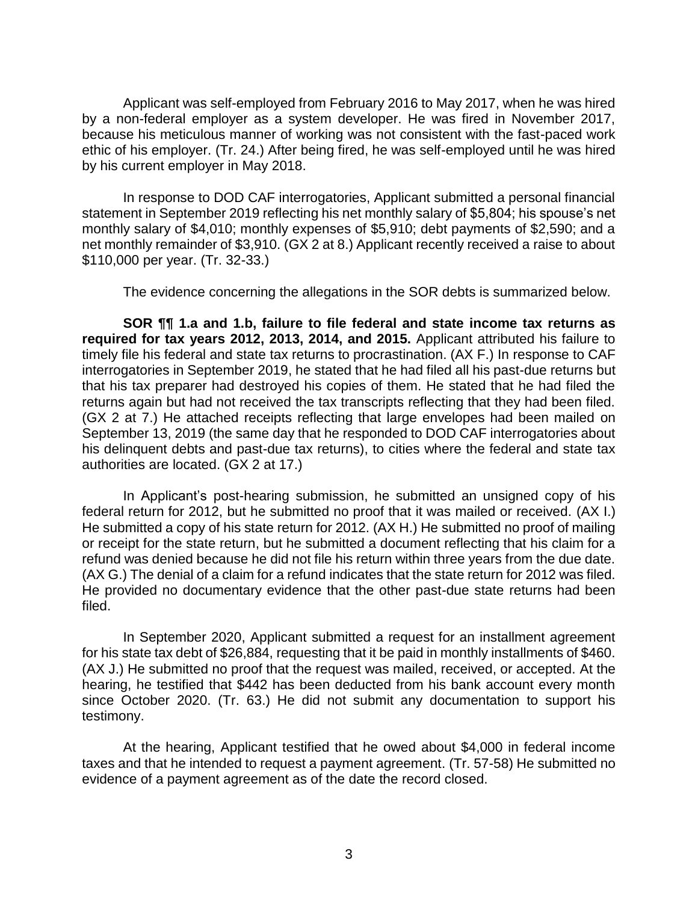Applicant was self-employed from February 2016 to May 2017, when he was hired by a non-federal employer as a system developer. He was fired in November 2017, because his meticulous manner of working was not consistent with the fast-paced work ethic of his employer. (Tr. 24.) After being fired, he was self-employed until he was hired by his current employer in May 2018.

In response to DOD CAF interrogatories, Applicant submitted a personal financial statement in September 2019 reflecting his net monthly salary of \$5,804; his spouse's net monthly salary of \$4,010; monthly expenses of \$5,910; debt payments of \$2,590; and a net monthly remainder of \$3,910. (GX 2 at 8.) Applicant recently received a raise to about \$110,000 per year. (Tr. 32-33.)

The evidence concerning the allegations in the SOR debts is summarized below.

**SOR ¶¶ 1.a and 1.b, failure to file federal and state income tax returns as required for tax years 2012, 2013, 2014, and 2015.** Applicant attributed his failure to timely file his federal and state tax returns to procrastination. (AX F.) In response to CAF interrogatories in September 2019, he stated that he had filed all his past-due returns but that his tax preparer had destroyed his copies of them. He stated that he had filed the returns again but had not received the tax transcripts reflecting that they had been filed. (GX 2 at 7.) He attached receipts reflecting that large envelopes had been mailed on September 13, 2019 (the same day that he responded to DOD CAF interrogatories about his delinquent debts and past-due tax returns), to cities where the federal and state tax authorities are located. (GX 2 at 17.)

In Applicant's post-hearing submission, he submitted an unsigned copy of his federal return for 2012, but he submitted no proof that it was mailed or received. (AX I.) He submitted a copy of his state return for 2012. (AX H.) He submitted no proof of mailing or receipt for the state return, but he submitted a document reflecting that his claim for a refund was denied because he did not file his return within three years from the due date. (AX G.) The denial of a claim for a refund indicates that the state return for 2012 was filed. He provided no documentary evidence that the other past-due state returns had been filed.

In September 2020, Applicant submitted a request for an installment agreement for his state tax debt of \$26,884, requesting that it be paid in monthly installments of \$460. (AX J.) He submitted no proof that the request was mailed, received, or accepted. At the hearing, he testified that \$442 has been deducted from his bank account every month since October 2020. (Tr. 63.) He did not submit any documentation to support his testimony.

At the hearing, Applicant testified that he owed about \$4,000 in federal income taxes and that he intended to request a payment agreement. (Tr. 57-58) He submitted no evidence of a payment agreement as of the date the record closed.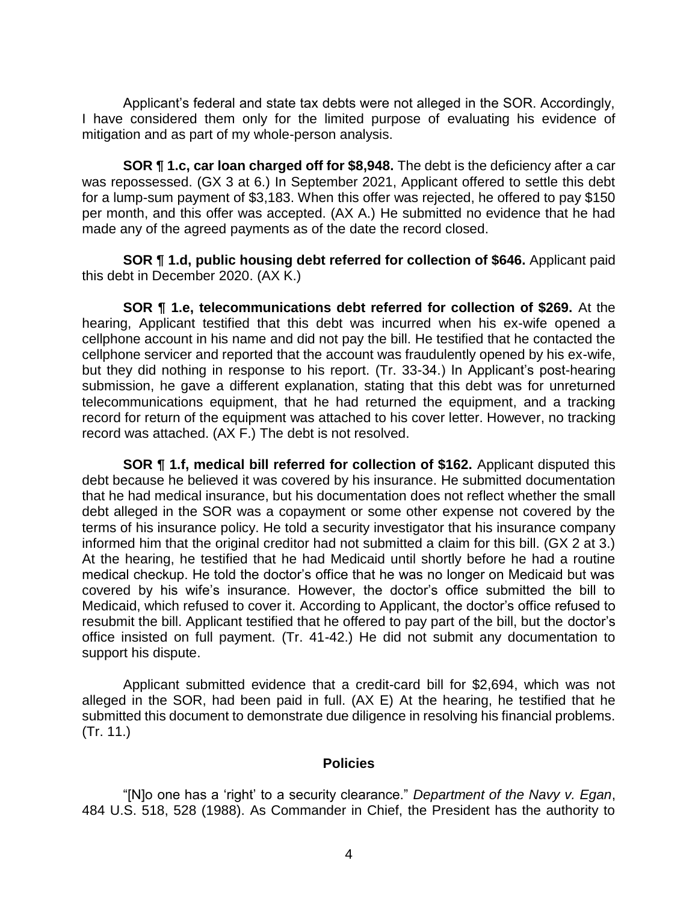Applicant's federal and state tax debts were not alleged in the SOR. Accordingly, I have considered them only for the limited purpose of evaluating his evidence of mitigation and as part of my whole-person analysis.

**SOR ¶ 1.c, car loan charged off for \$8,948.** The debt is the deficiency after a car was repossessed. (GX 3 at 6.) In September 2021, Applicant offered to settle this debt for a lump-sum payment of \$3,183. When this offer was rejected, he offered to pay \$150 per month, and this offer was accepted. (AX A.) He submitted no evidence that he had made any of the agreed payments as of the date the record closed.

**SOR ¶ 1.d, public housing debt referred for collection of \$646.** Applicant paid this debt in December 2020. (AX K.)

**SOR ¶ 1.e, telecommunications debt referred for collection of \$269.** At the hearing, Applicant testified that this debt was incurred when his ex-wife opened a cellphone account in his name and did not pay the bill. He testified that he contacted the cellphone servicer and reported that the account was fraudulently opened by his ex-wife, but they did nothing in response to his report. (Tr. 33-34.) In Applicant's post-hearing submission, he gave a different explanation, stating that this debt was for unreturned telecommunications equipment, that he had returned the equipment, and a tracking record for return of the equipment was attached to his cover letter. However, no tracking record was attached. (AX F.) The debt is not resolved.

**SOR ¶ 1.f, medical bill referred for collection of \$162.** Applicant disputed this debt because he believed it was covered by his insurance. He submitted documentation that he had medical insurance, but his documentation does not reflect whether the small debt alleged in the SOR was a copayment or some other expense not covered by the terms of his insurance policy. He told a security investigator that his insurance company informed him that the original creditor had not submitted a claim for this bill. (GX 2 at 3.) At the hearing, he testified that he had Medicaid until shortly before he had a routine medical checkup. He told the doctor's office that he was no longer on Medicaid but was covered by his wife's insurance. However, the doctor's office submitted the bill to Medicaid, which refused to cover it. According to Applicant, the doctor's office refused to resubmit the bill. Applicant testified that he offered to pay part of the bill, but the doctor's office insisted on full payment. (Tr. 41-42.) He did not submit any documentation to support his dispute.

Applicant submitted evidence that a credit-card bill for \$2,694, which was not alleged in the SOR, had been paid in full. (AX E) At the hearing, he testified that he submitted this document to demonstrate due diligence in resolving his financial problems. (Tr. 11.)

#### **Policies**

"[N]o one has a 'right' to a security clearance." *Department of the Navy v. Egan*, 484 U.S. 518, 528 (1988). As Commander in Chief, the President has the authority to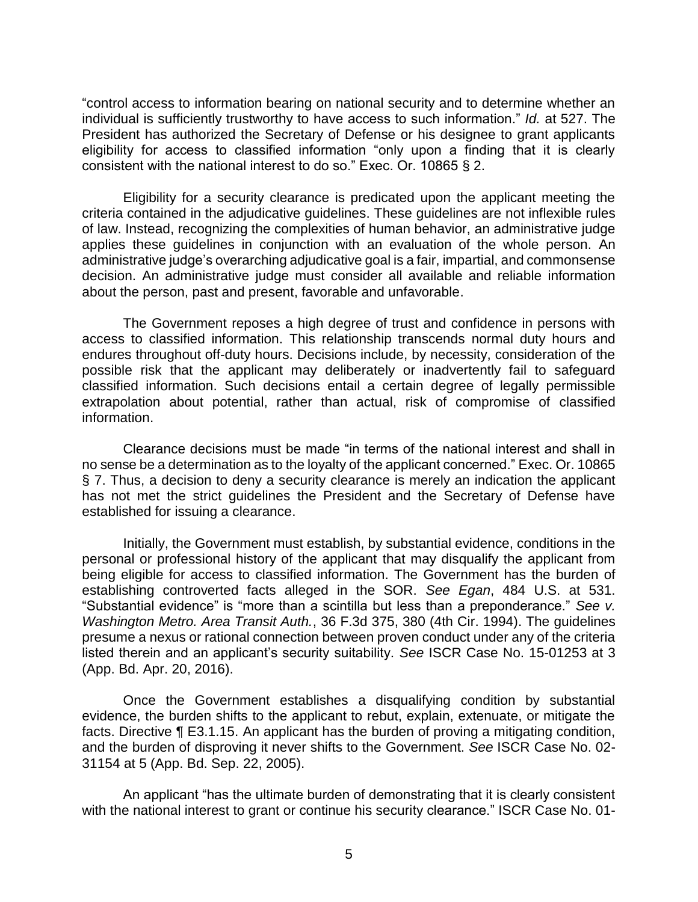"control access to information bearing on national security and to determine whether an individual is sufficiently trustworthy to have access to such information." *Id.* at 527. The President has authorized the Secretary of Defense or his designee to grant applicants eligibility for access to classified information "only upon a finding that it is clearly consistent with the national interest to do so." Exec. Or. 10865 § 2.

Eligibility for a security clearance is predicated upon the applicant meeting the criteria contained in the adjudicative guidelines. These guidelines are not inflexible rules of law. Instead, recognizing the complexities of human behavior, an administrative judge applies these guidelines in conjunction with an evaluation of the whole person. An administrative judge's overarching adjudicative goal is a fair, impartial, and commonsense decision. An administrative judge must consider all available and reliable information about the person, past and present, favorable and unfavorable.

The Government reposes a high degree of trust and confidence in persons with access to classified information. This relationship transcends normal duty hours and endures throughout off-duty hours. Decisions include, by necessity, consideration of the possible risk that the applicant may deliberately or inadvertently fail to safeguard classified information. Such decisions entail a certain degree of legally permissible extrapolation about potential, rather than actual, risk of compromise of classified information.

Clearance decisions must be made "in terms of the national interest and shall in no sense be a determination as to the loyalty of the applicant concerned." Exec. Or. 10865 § 7. Thus, a decision to deny a security clearance is merely an indication the applicant has not met the strict guidelines the President and the Secretary of Defense have established for issuing a clearance.

Initially, the Government must establish, by substantial evidence, conditions in the personal or professional history of the applicant that may disqualify the applicant from being eligible for access to classified information. The Government has the burden of establishing controverted facts alleged in the SOR. *See Egan*, 484 U.S. at 531. "Substantial evidence" is "more than a scintilla but less than a preponderance." *See v. Washington Metro. Area Transit Auth.*, 36 F.3d 375, 380 (4th Cir. 1994). The guidelines presume a nexus or rational connection between proven conduct under any of the criteria listed therein and an applicant's security suitability. *See* ISCR Case No. 15-01253 at 3 (App. Bd. Apr. 20, 2016).

Once the Government establishes a disqualifying condition by substantial evidence, the burden shifts to the applicant to rebut, explain, extenuate, or mitigate the facts. Directive ¶ E3.1.15. An applicant has the burden of proving a mitigating condition, and the burden of disproving it never shifts to the Government. *See* ISCR Case No. 02- 31154 at 5 (App. Bd. Sep. 22, 2005).

An applicant "has the ultimate burden of demonstrating that it is clearly consistent with the national interest to grant or continue his security clearance." ISCR Case No. 01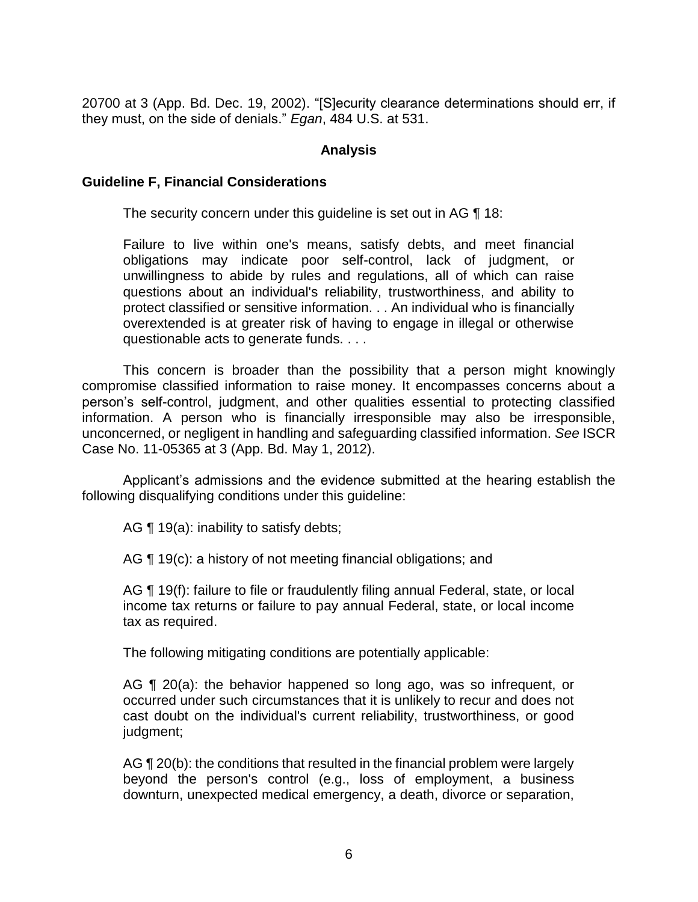20700 at 3 (App. Bd. Dec. 19, 2002). "[S]ecurity clearance determinations should err, if they must, on the side of denials." *Egan*, 484 U.S. at 531.

### **Analysis**

#### **Guideline F, Financial Considerations**

The security concern under this guideline is set out in AG ¶ 18:

Failure to live within one's means, satisfy debts, and meet financial obligations may indicate poor self-control, lack of judgment, or unwillingness to abide by rules and regulations, all of which can raise questions about an individual's reliability, trustworthiness, and ability to protect classified or sensitive information. . . An individual who is financially overextended is at greater risk of having to engage in illegal or otherwise questionable acts to generate funds. . . .

This concern is broader than the possibility that a person might knowingly compromise classified information to raise money. It encompasses concerns about a person's self-control, judgment, and other qualities essential to protecting classified information. A person who is financially irresponsible may also be irresponsible, unconcerned, or negligent in handling and safeguarding classified information. *See* ISCR Case No. 11-05365 at 3 (App. Bd. May 1, 2012).

Applicant's admissions and the evidence submitted at the hearing establish the following disqualifying conditions under this guideline:

AG  $\P$  19(a): inability to satisfy debts;

AG ¶ 19(c): a history of not meeting financial obligations; and

AG ¶ 19(f): failure to file or fraudulently filing annual Federal, state, or local income tax returns or failure to pay annual Federal, state, or local income tax as required.

The following mitigating conditions are potentially applicable:

AG ¶ 20(a): the behavior happened so long ago, was so infrequent, or occurred under such circumstances that it is unlikely to recur and does not cast doubt on the individual's current reliability, trustworthiness, or good judgment;

AG  $\P$  20(b): the conditions that resulted in the financial problem were largely beyond the person's control (e.g., loss of employment, a business downturn, unexpected medical emergency, a death, divorce or separation,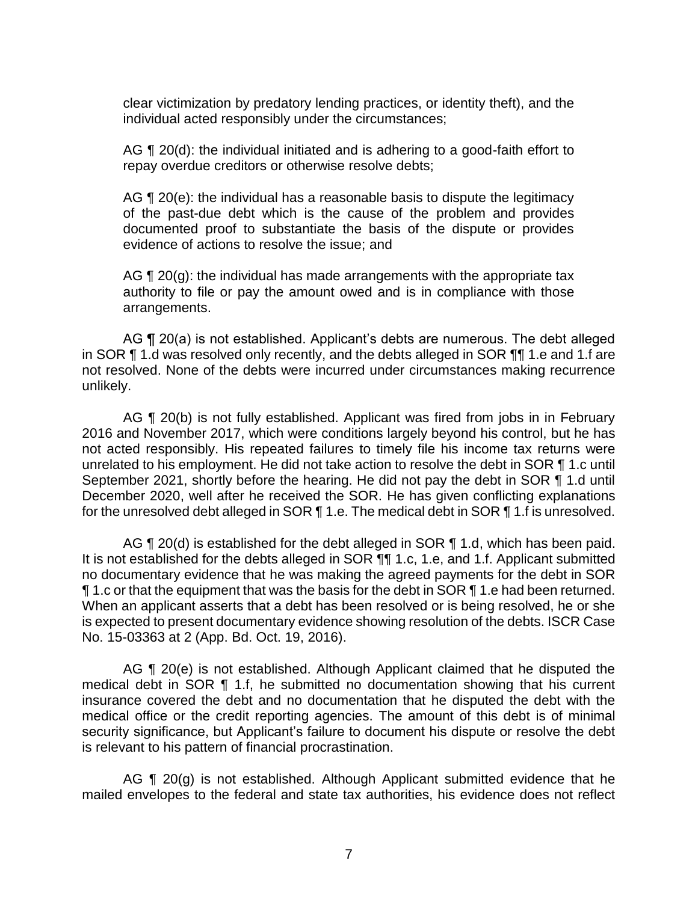clear victimization by predatory lending practices, or identity theft), and the individual acted responsibly under the circumstances;

AG ¶ 20(d): the individual initiated and is adhering to a good-faith effort to repay overdue creditors or otherwise resolve debts;

AG  $\P$  20(e): the individual has a reasonable basis to dispute the legitimacy of the past-due debt which is the cause of the problem and provides documented proof to substantiate the basis of the dispute or provides evidence of actions to resolve the issue; and

AG  $\P$  20(g): the individual has made arrangements with the appropriate tax authority to file or pay the amount owed and is in compliance with those arrangements.

AG ¶ 20(a) is not established. Applicant's debts are numerous. The debt alleged in SOR ¶ 1.d was resolved only recently, and the debts alleged in SOR ¶¶ 1.e and 1.f are not resolved. None of the debts were incurred under circumstances making recurrence unlikely.

AG ¶ 20(b) is not fully established. Applicant was fired from jobs in in February 2016 and November 2017, which were conditions largely beyond his control, but he has not acted responsibly. His repeated failures to timely file his income tax returns were unrelated to his employment. He did not take action to resolve the debt in SOR ¶ 1.c until September 2021, shortly before the hearing. He did not pay the debt in SOR ¶ 1.d until December 2020, well after he received the SOR. He has given conflicting explanations for the unresolved debt alleged in SOR ¶ 1.e. The medical debt in SOR ¶ 1.f is unresolved.

AG  $\P$  20(d) is established for the debt alleged in SOR  $\P$  1.d, which has been paid. It is not established for the debts alleged in SOR ¶¶ 1.c, 1.e, and 1.f. Applicant submitted no documentary evidence that he was making the agreed payments for the debt in SOR ¶ 1.c or that the equipment that was the basis for the debt in SOR ¶ 1.e had been returned. When an applicant asserts that a debt has been resolved or is being resolved, he or she is expected to present documentary evidence showing resolution of the debts. ISCR Case No. 15-03363 at 2 (App. Bd. Oct. 19, 2016).

AG ¶ 20(e) is not established. Although Applicant claimed that he disputed the medical debt in SOR ¶ 1.f, he submitted no documentation showing that his current insurance covered the debt and no documentation that he disputed the debt with the medical office or the credit reporting agencies. The amount of this debt is of minimal security significance, but Applicant's failure to document his dispute or resolve the debt is relevant to his pattern of financial procrastination.

AG ¶ 20(g) is not established. Although Applicant submitted evidence that he mailed envelopes to the federal and state tax authorities, his evidence does not reflect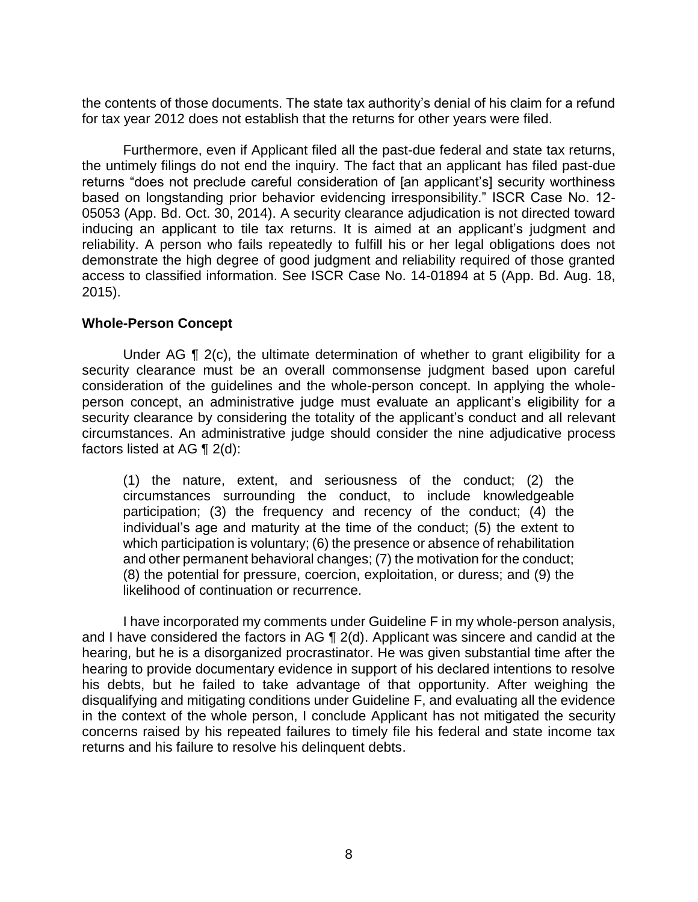the contents of those documents. The state tax authority's denial of his claim for a refund for tax year 2012 does not establish that the returns for other years were filed.

Furthermore, even if Applicant filed all the past-due federal and state tax returns, the untimely filings do not end the inquiry. The fact that an applicant has filed past-due returns "does not preclude careful consideration of [an applicant's] security worthiness based on longstanding prior behavior evidencing irresponsibility." ISCR Case No. 12- 05053 (App. Bd. Oct. 30, 2014). A security clearance adjudication is not directed toward inducing an applicant to tile tax returns. It is aimed at an applicant's judgment and reliability. A person who fails repeatedly to fulfill his or her legal obligations does not demonstrate the high degree of good judgment and reliability required of those granted access to classified information. See ISCR Case No. 14-01894 at 5 (App. Bd. Aug. 18, 2015).

#### **Whole-Person Concept**

Under AG ¶ 2(c), the ultimate determination of whether to grant eligibility for a security clearance must be an overall commonsense judgment based upon careful consideration of the guidelines and the whole-person concept. In applying the wholeperson concept, an administrative judge must evaluate an applicant's eligibility for a security clearance by considering the totality of the applicant's conduct and all relevant circumstances. An administrative judge should consider the nine adjudicative process factors listed at AG  $\P$  2(d):

(1) the nature, extent, and seriousness of the conduct; (2) the circumstances surrounding the conduct, to include knowledgeable participation; (3) the frequency and recency of the conduct; (4) the individual's age and maturity at the time of the conduct; (5) the extent to which participation is voluntary; (6) the presence or absence of rehabilitation and other permanent behavioral changes; (7) the motivation for the conduct; (8) the potential for pressure, coercion, exploitation, or duress; and (9) the likelihood of continuation or recurrence.

 I have incorporated my comments under Guideline F in my whole-person analysis, and I have considered the factors in AG ¶ 2(d). Applicant was sincere and candid at the hearing, but he is a disorganized procrastinator. He was given substantial time after the hearing to provide documentary evidence in support of his declared intentions to resolve his debts, but he failed to take advantage of that opportunity. After weighing the disqualifying and mitigating conditions under Guideline F, and evaluating all the evidence in the context of the whole person, I conclude Applicant has not mitigated the security concerns raised by his repeated failures to timely file his federal and state income tax returns and his failure to resolve his delinquent debts.